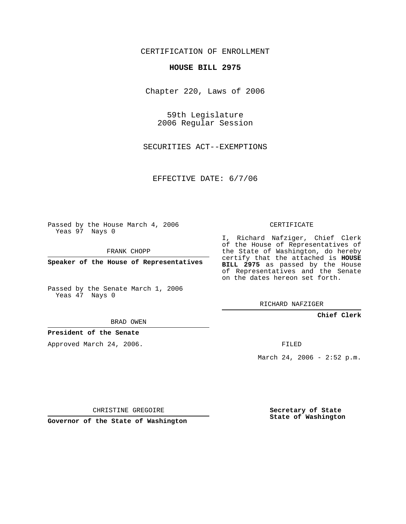CERTIFICATION OF ENROLLMENT

## **HOUSE BILL 2975**

Chapter 220, Laws of 2006

59th Legislature 2006 Regular Session

SECURITIES ACT--EXEMPTIONS

EFFECTIVE DATE: 6/7/06

Passed by the House March 4, 2006 Yeas 97 Nays 0

FRANK CHOPP

**Speaker of the House of Representatives**

Passed by the Senate March 1, 2006 Yeas 47 Nays 0

I, Richard Nafziger, Chief Clerk of the House of Representatives of the State of Washington, do hereby certify that the attached is **HOUSE BILL 2975** as passed by the House of Representatives and the Senate on the dates hereon set forth.

CERTIFICATE

RICHARD NAFZIGER

**Chief Clerk**

BRAD OWEN

**President of the Senate**

Approved March 24, 2006.

FILED

March 24, 2006 - 2:52 p.m.

CHRISTINE GREGOIRE

**Governor of the State of Washington**

**Secretary of State State of Washington**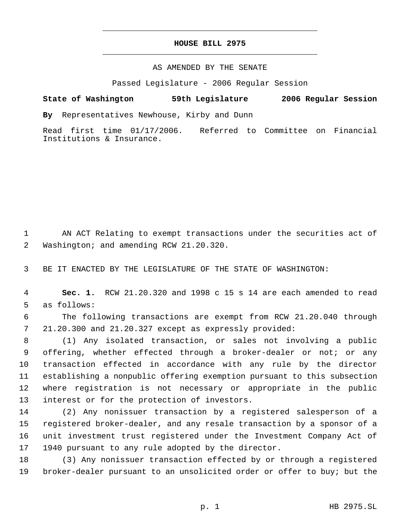## **HOUSE BILL 2975** \_\_\_\_\_\_\_\_\_\_\_\_\_\_\_\_\_\_\_\_\_\_\_\_\_\_\_\_\_\_\_\_\_\_\_\_\_\_\_\_\_\_\_\_\_

\_\_\_\_\_\_\_\_\_\_\_\_\_\_\_\_\_\_\_\_\_\_\_\_\_\_\_\_\_\_\_\_\_\_\_\_\_\_\_\_\_\_\_\_\_

## AS AMENDED BY THE SENATE

Passed Legislature - 2006 Regular Session

**State of Washington 59th Legislature 2006 Regular Session By** Representatives Newhouse, Kirby and Dunn

Read first time 01/17/2006. Referred to Committee on Financial Institutions & Insurance.

 AN ACT Relating to exempt transactions under the securities act of Washington; and amending RCW 21.20.320.

BE IT ENACTED BY THE LEGISLATURE OF THE STATE OF WASHINGTON:

 **Sec. 1.** RCW 21.20.320 and 1998 c 15 s 14 are each amended to read as follows:

 The following transactions are exempt from RCW 21.20.040 through 21.20.300 and 21.20.327 except as expressly provided:

 (1) Any isolated transaction, or sales not involving a public offering, whether effected through a broker-dealer or not; or any transaction effected in accordance with any rule by the director establishing a nonpublic offering exemption pursuant to this subsection where registration is not necessary or appropriate in the public interest or for the protection of investors.

 (2) Any nonissuer transaction by a registered salesperson of a registered broker-dealer, and any resale transaction by a sponsor of a unit investment trust registered under the Investment Company Act of 1940 pursuant to any rule adopted by the director.

 (3) Any nonissuer transaction effected by or through a registered broker-dealer pursuant to an unsolicited order or offer to buy; but the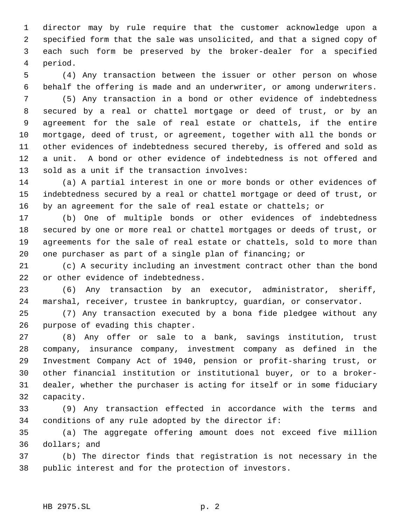director may by rule require that the customer acknowledge upon a specified form that the sale was unsolicited, and that a signed copy of each such form be preserved by the broker-dealer for a specified period.

 (4) Any transaction between the issuer or other person on whose behalf the offering is made and an underwriter, or among underwriters.

 (5) Any transaction in a bond or other evidence of indebtedness secured by a real or chattel mortgage or deed of trust, or by an agreement for the sale of real estate or chattels, if the entire mortgage, deed of trust, or agreement, together with all the bonds or other evidences of indebtedness secured thereby, is offered and sold as a unit. A bond or other evidence of indebtedness is not offered and sold as a unit if the transaction involves:

 (a) A partial interest in one or more bonds or other evidences of indebtedness secured by a real or chattel mortgage or deed of trust, or 16 by an agreement for the sale of real estate or chattels; or

 (b) One of multiple bonds or other evidences of indebtedness secured by one or more real or chattel mortgages or deeds of trust, or agreements for the sale of real estate or chattels, sold to more than one purchaser as part of a single plan of financing; or

 (c) A security including an investment contract other than the bond or other evidence of indebtedness.

 (6) Any transaction by an executor, administrator, sheriff, marshal, receiver, trustee in bankruptcy, guardian, or conservator.

 (7) Any transaction executed by a bona fide pledgee without any purpose of evading this chapter.

 (8) Any offer or sale to a bank, savings institution, trust company, insurance company, investment company as defined in the Investment Company Act of 1940, pension or profit-sharing trust, or other financial institution or institutional buyer, or to a broker- dealer, whether the purchaser is acting for itself or in some fiduciary capacity.

 (9) Any transaction effected in accordance with the terms and conditions of any rule adopted by the director if:

 (a) The aggregate offering amount does not exceed five million dollars; and

 (b) The director finds that registration is not necessary in the public interest and for the protection of investors.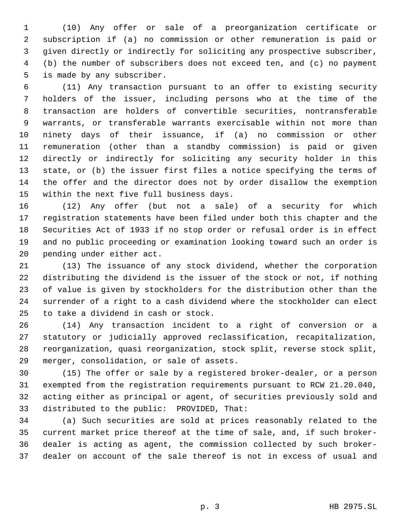(10) Any offer or sale of a preorganization certificate or subscription if (a) no commission or other remuneration is paid or given directly or indirectly for soliciting any prospective subscriber, (b) the number of subscribers does not exceed ten, and (c) no payment is made by any subscriber.

 (11) Any transaction pursuant to an offer to existing security holders of the issuer, including persons who at the time of the transaction are holders of convertible securities, nontransferable warrants, or transferable warrants exercisable within not more than ninety days of their issuance, if (a) no commission or other remuneration (other than a standby commission) is paid or given directly or indirectly for soliciting any security holder in this state, or (b) the issuer first files a notice specifying the terms of the offer and the director does not by order disallow the exemption within the next five full business days.

 (12) Any offer (but not a sale) of a security for which registration statements have been filed under both this chapter and the Securities Act of 1933 if no stop order or refusal order is in effect and no public proceeding or examination looking toward such an order is pending under either act.

 (13) The issuance of any stock dividend, whether the corporation distributing the dividend is the issuer of the stock or not, if nothing of value is given by stockholders for the distribution other than the surrender of a right to a cash dividend where the stockholder can elect to take a dividend in cash or stock.

 (14) Any transaction incident to a right of conversion or a statutory or judicially approved reclassification, recapitalization, reorganization, quasi reorganization, stock split, reverse stock split, merger, consolidation, or sale of assets.

 (15) The offer or sale by a registered broker-dealer, or a person exempted from the registration requirements pursuant to RCW 21.20.040, acting either as principal or agent, of securities previously sold and distributed to the public: PROVIDED, That:

 (a) Such securities are sold at prices reasonably related to the current market price thereof at the time of sale, and, if such broker- dealer is acting as agent, the commission collected by such broker-dealer on account of the sale thereof is not in excess of usual and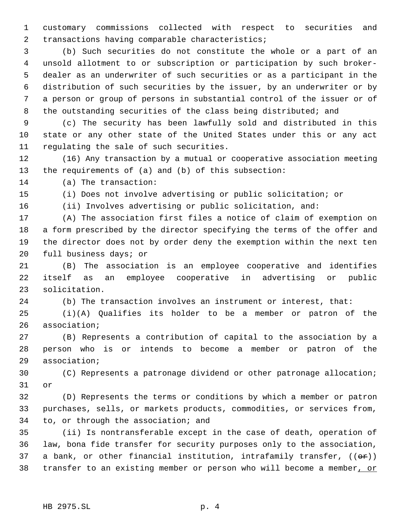customary commissions collected with respect to securities and transactions having comparable characteristics;

 (b) Such securities do not constitute the whole or a part of an unsold allotment to or subscription or participation by such broker- dealer as an underwriter of such securities or as a participant in the distribution of such securities by the issuer, by an underwriter or by a person or group of persons in substantial control of the issuer or of the outstanding securities of the class being distributed; and

 (c) The security has been lawfully sold and distributed in this state or any other state of the United States under this or any act regulating the sale of such securities.

 (16) Any transaction by a mutual or cooperative association meeting the requirements of (a) and (b) of this subsection:

(a) The transaction:

(i) Does not involve advertising or public solicitation; or

(ii) Involves advertising or public solicitation, and:

 (A) The association first files a notice of claim of exemption on a form prescribed by the director specifying the terms of the offer and the director does not by order deny the exemption within the next ten full business days; or

 (B) The association is an employee cooperative and identifies itself as an employee cooperative in advertising or public solicitation.

(b) The transaction involves an instrument or interest, that:

 (i)(A) Qualifies its holder to be a member or patron of the association;

 (B) Represents a contribution of capital to the association by a person who is or intends to become a member or patron of the association;

 (C) Represents a patronage dividend or other patronage allocation; or

 (D) Represents the terms or conditions by which a member or patron purchases, sells, or markets products, commodities, or services from, to, or through the association; and

 (ii) Is nontransferable except in the case of death, operation of law, bona fide transfer for security purposes only to the association, 37 a bank, or other financial institution, intrafamily transfer,  $((\theta \cdot \mathbf{r}))$ 38 transfer to an existing member or person who will become a member, or